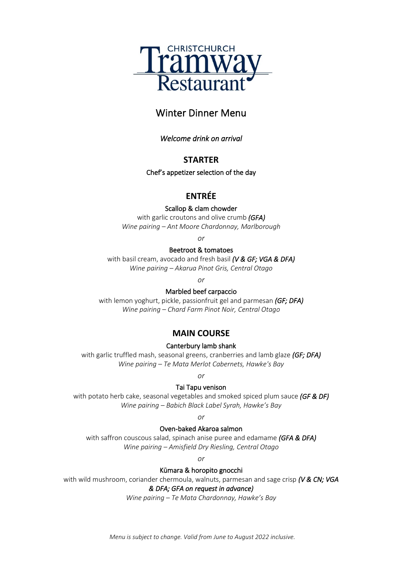

## Winter Dinner Menu

*Welcome drink on arrival* 

#### **STARTER**

Chef's appetizer selection of the day

## **ENTRÉE**

Scallop & clam chowder

with garlic croutons and olive crumb *(GFA) Wine pairing – Ant Moore Chardonnay, Marlborough*

*or*

#### Beetroot & tomatoes

with basil cream, avocado and fresh basil *(V & GF; VGA & DFA) Wine pairing – Akarua Pinot Gris, Central Otago*

*or*

#### Marbled beef carpaccio

with lemon yoghurt, pickle, passionfruit gel and parmesan *(GF; DFA) Wine pairing – Chard Farm Pinot Noir, Central Otago*

## **MAIN COURSE**

#### Canterbury lamb shank

with garlic truffled mash, seasonal greens, cranberries and lamb glaze *(GF; DFA) Wine pairing – Te Mata Merlot Cabernets, Hawke's Bay*

*or*

#### Tai Tapu venison

with potato herb cake, seasonal vegetables and smoked spiced plum sauce *(GF & DF) Wine pairing – Babich Black Label Syrah, Hawke's Bay*

*or*

#### Oven-baked Akaroa salmon

with saffron couscous salad, spinach anise puree and edamame *(GFA & DFA) Wine pairing – Amisfield Dry Riesling, Central Otago*

*or*

#### Kūmara & horopito gnocchi

with wild mushroom, coriander chermoula, walnuts, parmesan and sage crisp *(V & CN; VGA* 

#### *& DFA; GFA on request in advance)*

*Wine pairing – Te Mata Chardonnay, Hawke's Bay*

*Menu is subject to change. Valid from June to August 2022 inclusive.*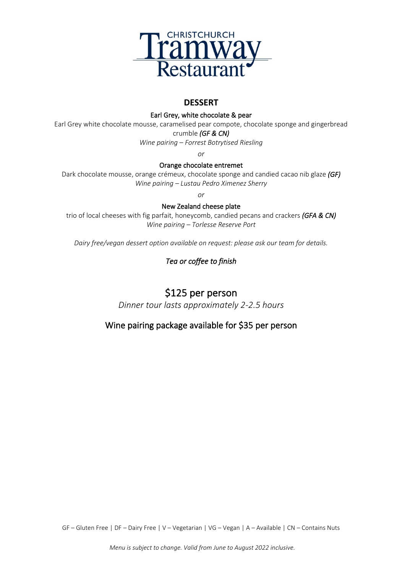

### **DESSERT**

Earl Grey, white chocolate & pear

Earl Grey white chocolate mousse, caramelised pear compote, chocolate sponge and gingerbread crumble *(GF & CN)* 

*Wine pairing – Forrest Botrytised Riesling*

*or*

#### Orange chocolate entremet

Dark chocolate mousse, orange crémeux, chocolate sponge and candied cacao nib glaze *(GF) Wine pairing – Lustau Pedro Ximenez Sherry*

*or*

New Zealand cheese plate

trio of local cheeses with fig parfait, honeycomb, candied pecans and crackers *(GFA & CN) Wine pairing – Torlesse Reserve Port*

*Dairy free/vegan dessert option available on request: please ask our team for details.* 

## *Tea or coffee to finish*

# \$125 per person

*Dinner tour lasts approximately 2-2.5 hours*

## Wine pairing package available for \$35 per person

GF – Gluten Free | DF – Dairy Free | V – Vegetarian | VG – Vegan | A – Available | CN – Contains Nuts